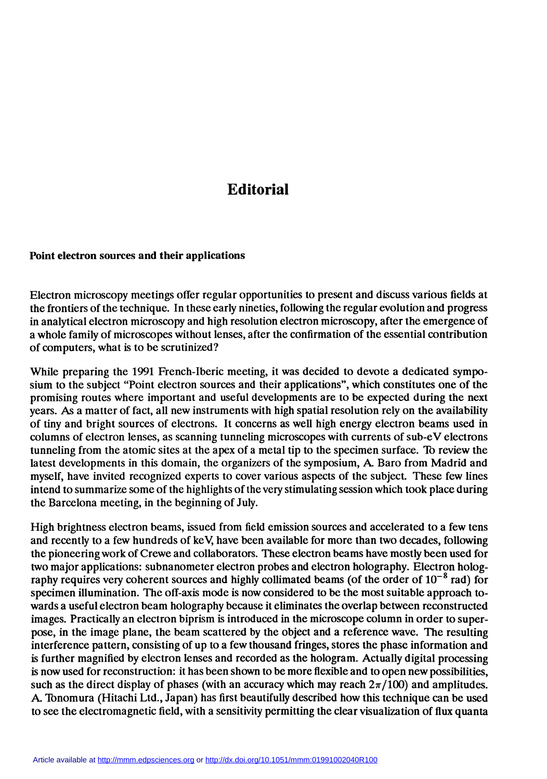## Editorial

## Point électron sources and their applications

Electron microscopy meetings offer regular opportunities to present and discuss various fields at the frontiers of the technique. In these early nineties, following the regular evolution and progress in analytical electron microscopy and high resolution electron microscopy, after the emergence of a whole family of microscopes without lenses, after the confirmation of the essential contribution of computers, what is to be scrutinized?

While preparing the 1991 French-Iberic meeting, it was decided to devote a dedicated symposium to the subject "Point electron sources and their applications", which constitutes one of the promising routes where important and useful developments are to be expected during the next years. As a matter of fact, all new instruments with high spatial resolution rely on the availability of tiny and bright sources of electrons. It concerns as well high energy electron beams used in columns of electron lenses, as scanning tunneling microscopes with currents of sub-eV electrons tunneling from the atomic sites at the apex of a metal tip to the specimen surface. To review the latest developments in this domain, the organizers of the symposium, A. Baro from Madrid and myself, have invited recognized experts to cover various aspects of the subject. These few lines intend to summarize some of the highlights of the very stimulating session which took place during the Barcelona meeting, in the beginning of July.

High brightness electron beams, issued from field emission sources and accelerated to a few tens and recently to a few hundreds of keV, have been available for more than two decades, following the pioneering work of Crewe and collaborators. These electron beams have mostly been used for two major applications: subnanometer electron probes and electron holography. Electron holography requires very coherent sources and highly collimated beams (of the order of  $10^{-8}$  rad) for specimen illumination. The off-axis mode is now considered to be the most suitable approach towards a useful electron beam holography because it eliminates the overlap between reconstructed images. Practically an electron biprism is introduced in the microscope column in order to superpose, in the image plane, the beam scattered by the object and a reference wave. The resulting interference pattern, consisting of up to a few thousand fringes, stores the phase information and is further magnified by electron lenses and recorded as the hologram. Actually digital processing is now used for reconstruction: it has been shown to be more flexible and to open new possibilities, such as the direct display of phases (with an accuracy which may reach  $2\pi/100$ ) and amplitudes. A. 'Ibnomura (Hitachi Ltd., Japan) has first beautifully described how this technique can be used to see the electromagnetic field, with a sensitivity permitting the clear visualization of flux quanta